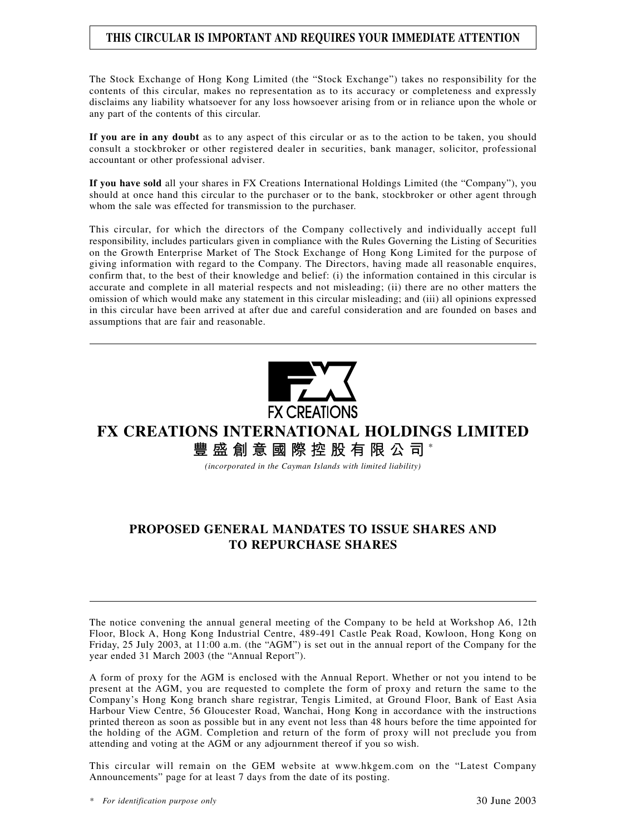# **THIS CIRCULAR IS IMPORTANT AND REQUIRES YOUR IMMEDIATE ATTENTION**

The Stock Exchange of Hong Kong Limited (the "Stock Exchange") takes no responsibility for the contents of this circular, makes no representation as to its accuracy or completeness and expressly disclaims any liability whatsoever for any loss howsoever arising from or in reliance upon the whole or any part of the contents of this circular.

**If you are in any doubt** as to any aspect of this circular or as to the action to be taken, you should consult a stockbroker or other registered dealer in securities, bank manager, solicitor, professional accountant or other professional adviser.

**If you have sold** all your shares in FX Creations International Holdings Limited (the "Company"), you should at once hand this circular to the purchaser or to the bank, stockbroker or other agent through whom the sale was effected for transmission to the purchaser.

This circular, for which the directors of the Company collectively and individually accept full responsibility, includes particulars given in compliance with the Rules Governing the Listing of Securities on the Growth Enterprise Market of The Stock Exchange of Hong Kong Limited for the purpose of giving information with regard to the Company. The Directors, having made all reasonable enquires, confirm that, to the best of their knowledge and belief: (i) the information contained in this circular is accurate and complete in all material respects and not misleading; (ii) there are no other matters the omission of which would make any statement in this circular misleading; and (iii) all opinions expressed in this circular have been arrived at after due and careful consideration and are founded on bases and assumptions that are fair and reasonable.



# **FX CREATIONS INTERNATIONAL HOLDINGS LIMITED 豐盛創意國際控股有限公司** \*

*(incorporated in the Cayman Islands with limited liability)*

# **PROPOSED GENERAL MANDATES TO ISSUE SHARES AND TO REPURCHASE SHARES**

The notice convening the annual general meeting of the Company to be held at Workshop A6, 12th Floor, Block A, Hong Kong Industrial Centre, 489-491 Castle Peak Road, Kowloon, Hong Kong on Friday, 25 July 2003, at 11:00 a.m. (the "AGM") is set out in the annual report of the Company for the year ended 31 March 2003 (the "Annual Report").

A form of proxy for the AGM is enclosed with the Annual Report. Whether or not you intend to be present at the AGM, you are requested to complete the form of proxy and return the same to the Company's Hong Kong branch share registrar, Tengis Limited, at Ground Floor, Bank of East Asia Harbour View Centre, 56 Gloucester Road, Wanchai, Hong Kong in accordance with the instructions printed thereon as soon as possible but in any event not less than 48 hours before the time appointed for the holding of the AGM. Completion and return of the form of proxy will not preclude you from attending and voting at the AGM or any adjournment thereof if you so wish.

This circular will remain on the GEM website at www.hkgem.com on the "Latest Company Announcements" page for at least 7 days from the date of its posting.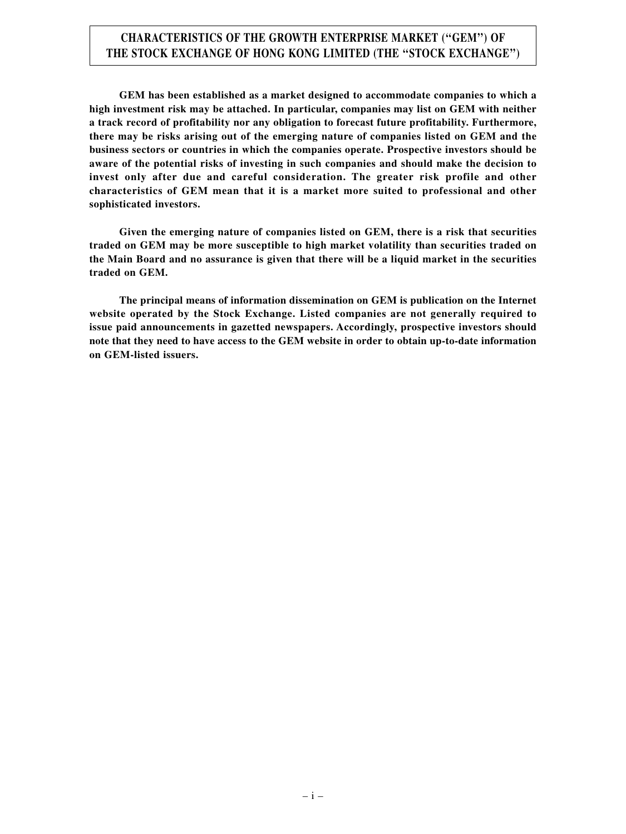# **CHARACTERISTICS OF THE GROWTH ENTERPRISE MARKET (''GEM'') OF THE STOCK EXCHANGE OF HONG KONG LIMITED (THE ''STOCK EXCHANGE'')**

**GEM has been established as a market designed to accommodate companies to which a high investment risk may be attached. In particular, companies may list on GEM with neither a track record of profitability nor any obligation to forecast future profitability. Furthermore, there may be risks arising out of the emerging nature of companies listed on GEM and the business sectors or countries in which the companies operate. Prospective investors should be aware of the potential risks of investing in such companies and should make the decision to invest only after due and careful consideration. The greater risk profile and other characteristics of GEM mean that it is a market more suited to professional and other sophisticated investors.**

**Given the emerging nature of companies listed on GEM, there is a risk that securities traded on GEM may be more susceptible to high market volatility than securities traded on the Main Board and no assurance is given that there will be a liquid market in the securities traded on GEM.**

**The principal means of information dissemination on GEM is publication on the Internet website operated by the Stock Exchange. Listed companies are not generally required to issue paid announcements in gazetted newspapers. Accordingly, prospective investors should note that they need to have access to the GEM website in order to obtain up-to-date information on GEM-listed issuers.**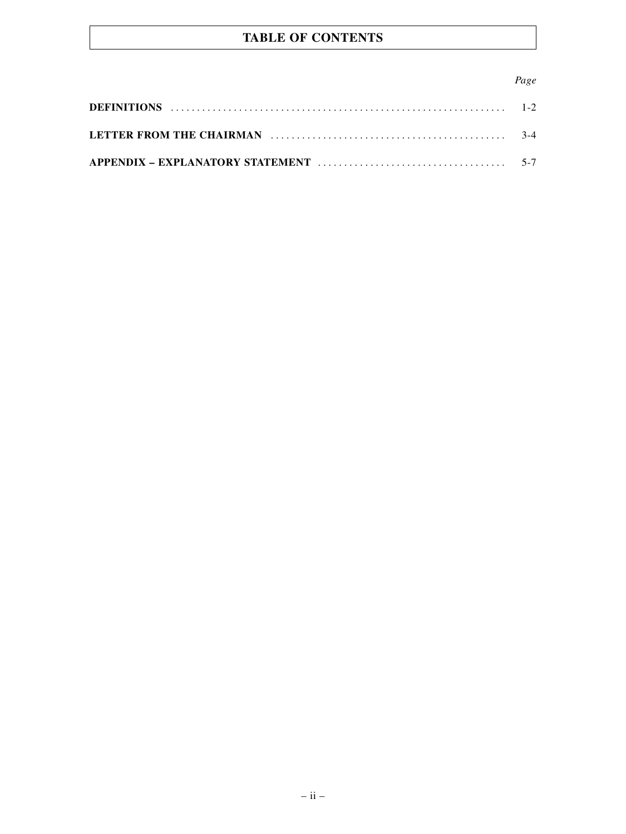# **TABLE OF CONTENTS**

# *Page*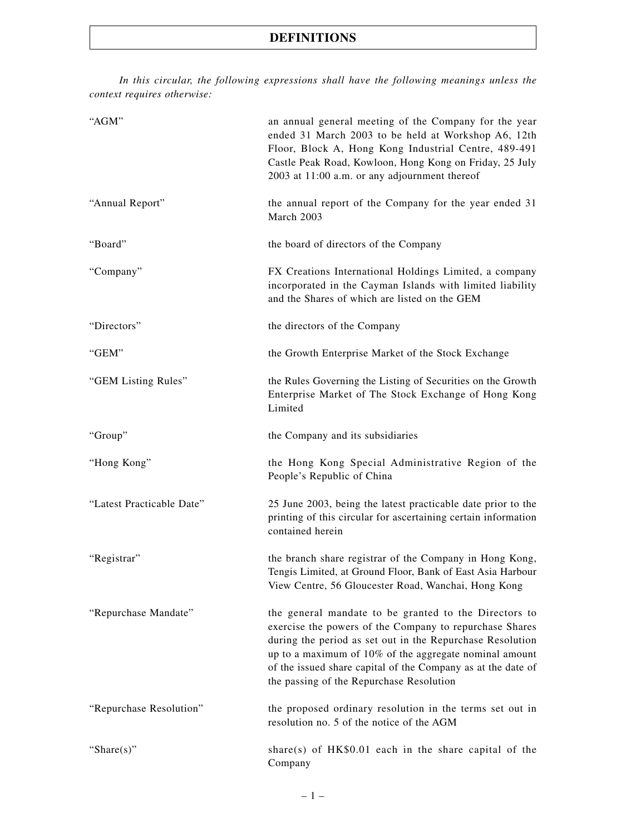*In this circular, the following expressions shall have the following meanings unless the context requires otherwise:*

| "AGM"                     | an annual general meeting of the Company for the year<br>ended 31 March 2003 to be held at Workshop A6, 12th<br>Floor, Block A, Hong Kong Industrial Centre, 489-491<br>Castle Peak Road, Kowloon, Hong Kong on Friday, 25 July<br>2003 at 11:00 a.m. or any adjournment thereof                                                                    |
|---------------------------|-----------------------------------------------------------------------------------------------------------------------------------------------------------------------------------------------------------------------------------------------------------------------------------------------------------------------------------------------------|
| "Annual Report"           | the annual report of the Company for the year ended 31<br>March 2003                                                                                                                                                                                                                                                                                |
| "Board"                   | the board of directors of the Company                                                                                                                                                                                                                                                                                                               |
| "Company"                 | FX Creations International Holdings Limited, a company<br>incorporated in the Cayman Islands with limited liability<br>and the Shares of which are listed on the GEM                                                                                                                                                                                |
| "Directors"               | the directors of the Company                                                                                                                                                                                                                                                                                                                        |
| "GEM"                     | the Growth Enterprise Market of the Stock Exchange                                                                                                                                                                                                                                                                                                  |
| "GEM Listing Rules"       | the Rules Governing the Listing of Securities on the Growth<br>Enterprise Market of The Stock Exchange of Hong Kong<br>Limited                                                                                                                                                                                                                      |
| "Group"                   | the Company and its subsidiaries                                                                                                                                                                                                                                                                                                                    |
| "Hong Kong"               | the Hong Kong Special Administrative Region of the<br>People's Republic of China                                                                                                                                                                                                                                                                    |
| "Latest Practicable Date" | 25 June 2003, being the latest practicable date prior to the<br>printing of this circular for ascertaining certain information<br>contained herein                                                                                                                                                                                                  |
| "Registrar"               | the branch share registrar of the Company in Hong Kong,<br>Tengis Limited, at Ground Floor, Bank of East Asia Harbour<br>View Centre, 56 Gloucester Road, Wanchai, Hong Kong                                                                                                                                                                        |
| "Repurchase Mandate"      | the general mandate to be granted to the Directors to<br>exercise the powers of the Company to repurchase Shares<br>during the period as set out in the Repurchase Resolution<br>up to a maximum of 10% of the aggregate nominal amount<br>of the issued share capital of the Company as at the date of<br>the passing of the Repurchase Resolution |
| "Repurchase Resolution"   | the proposed ordinary resolution in the terms set out in<br>resolution no. 5 of the notice of the AGM                                                                                                                                                                                                                                               |
| "Share $(s)$ "            | share(s) of $HK$0.01$ each in the share capital of the<br>Company                                                                                                                                                                                                                                                                                   |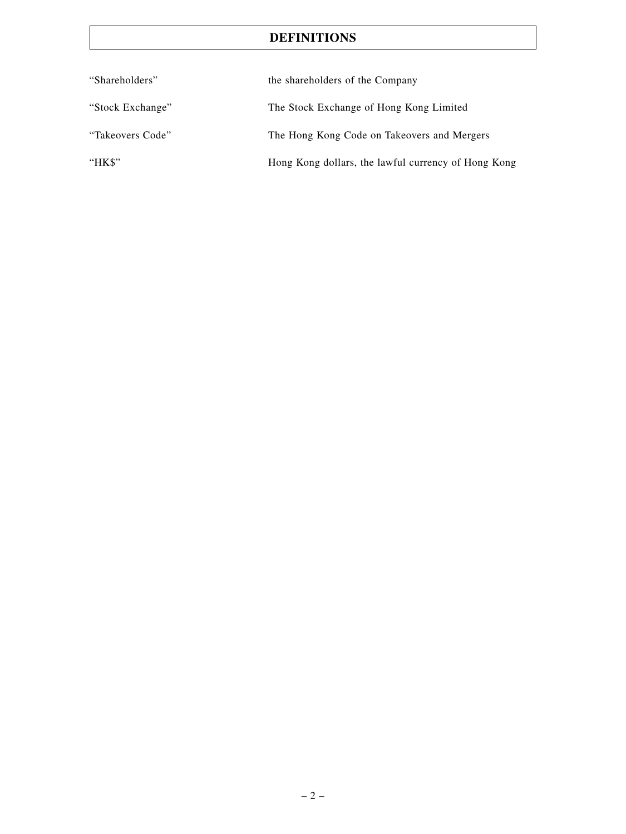# **DEFINITIONS**

| "Shareholders"   | the shareholders of the Company                     |
|------------------|-----------------------------------------------------|
| "Stock Exchange" | The Stock Exchange of Hong Kong Limited             |
| "Takeovers Code" | The Hong Kong Code on Takeovers and Mergers         |
| " $HKS$ "        | Hong Kong dollars, the lawful currency of Hong Kong |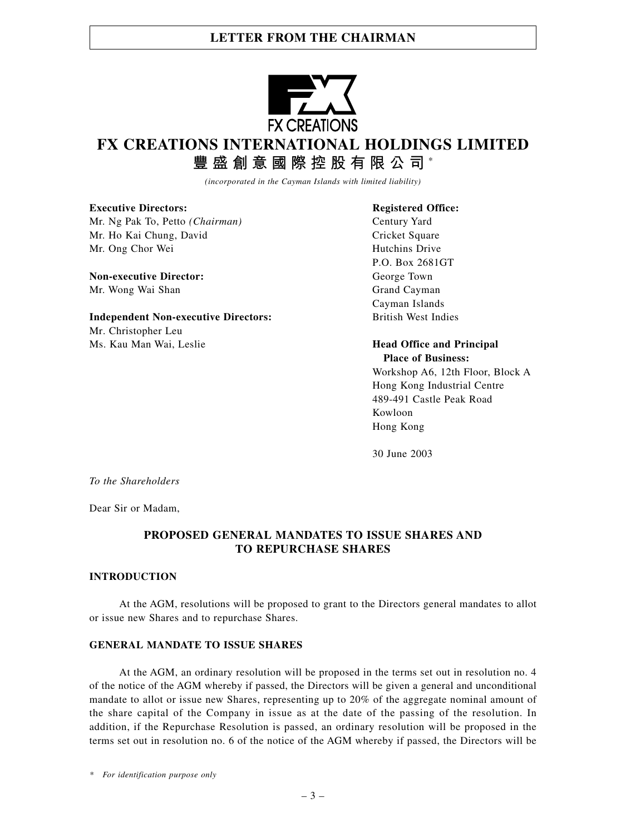# **LETTER FROM THE CHAIRMAN**



# **FX CREATIONS INTERNATIONAL HOLDINGS LIMITED**

**豐盛創意國際控股有限公司** \*

*(incorporated in the Cayman Islands with limited liability)*

**Executive Directors:** Registered Office: Mr. Ng Pak To, Petto *(Chairman)* Century Yard

Mr. Ho Kai Chung, David Cricket Square Mr. Ong Chor Wei Hutchins Drive

**Non-executive Director:** George Town Mr. Wong Wai Shan Grand Cayman

**Independent Non-executive Directors:** British West Indies Mr. Christopher Leu Ms. Kau Man Wai, Leslie **Head Office and Principal**

P.O. Box 2681GT Cayman Islands

**Place of Business:**

Workshop A6, 12th Floor, Block A Hong Kong Industrial Centre 489-491 Castle Peak Road Kowloon Hong Kong

30 June 2003

*To the Shareholders*

Dear Sir or Madam,

### **PROPOSED GENERAL MANDATES TO ISSUE SHARES AND TO REPURCHASE SHARES**

#### **INTRODUCTION**

At the AGM, resolutions will be proposed to grant to the Directors general mandates to allot or issue new Shares and to repurchase Shares.

### **GENERAL MANDATE TO ISSUE SHARES**

At the AGM, an ordinary resolution will be proposed in the terms set out in resolution no. 4 of the notice of the AGM whereby if passed, the Directors will be given a general and unconditional mandate to allot or issue new Shares, representing up to 20% of the aggregate nominal amount of the share capital of the Company in issue as at the date of the passing of the resolution. In addition, if the Repurchase Resolution is passed, an ordinary resolution will be proposed in the terms set out in resolution no. 6 of the notice of the AGM whereby if passed, the Directors will be

*\* For identification purpose only*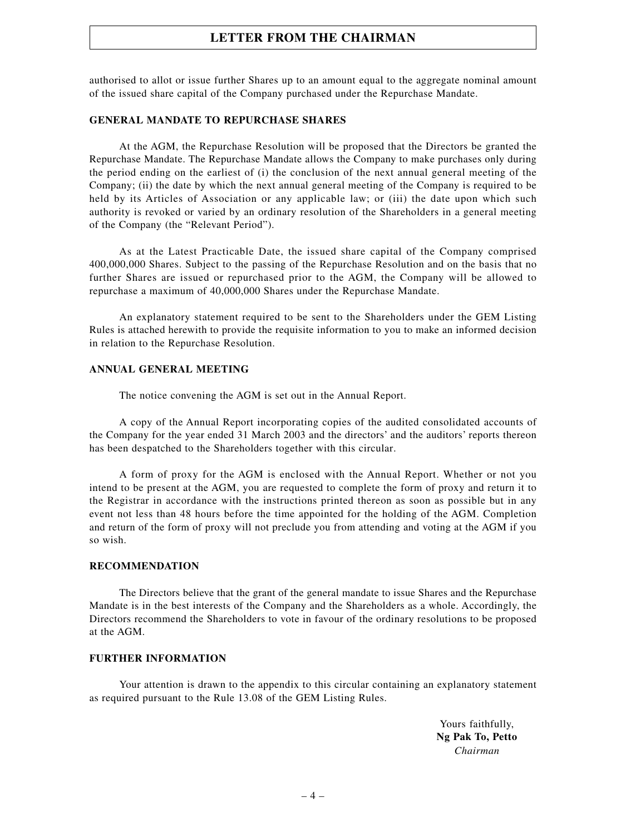# **LETTER FROM THE CHAIRMAN**

authorised to allot or issue further Shares up to an amount equal to the aggregate nominal amount of the issued share capital of the Company purchased under the Repurchase Mandate.

#### **GENERAL MANDATE TO REPURCHASE SHARES**

At the AGM, the Repurchase Resolution will be proposed that the Directors be granted the Repurchase Mandate. The Repurchase Mandate allows the Company to make purchases only during the period ending on the earliest of (i) the conclusion of the next annual general meeting of the Company; (ii) the date by which the next annual general meeting of the Company is required to be held by its Articles of Association or any applicable law; or (iii) the date upon which such authority is revoked or varied by an ordinary resolution of the Shareholders in a general meeting of the Company (the "Relevant Period").

As at the Latest Practicable Date, the issued share capital of the Company comprised 400,000,000 Shares. Subject to the passing of the Repurchase Resolution and on the basis that no further Shares are issued or repurchased prior to the AGM, the Company will be allowed to repurchase a maximum of 40,000,000 Shares under the Repurchase Mandate.

An explanatory statement required to be sent to the Shareholders under the GEM Listing Rules is attached herewith to provide the requisite information to you to make an informed decision in relation to the Repurchase Resolution.

#### **ANNUAL GENERAL MEETING**

The notice convening the AGM is set out in the Annual Report.

A copy of the Annual Report incorporating copies of the audited consolidated accounts of the Company for the year ended 31 March 2003 and the directors' and the auditors' reports thereon has been despatched to the Shareholders together with this circular.

A form of proxy for the AGM is enclosed with the Annual Report. Whether or not you intend to be present at the AGM, you are requested to complete the form of proxy and return it to the Registrar in accordance with the instructions printed thereon as soon as possible but in any event not less than 48 hours before the time appointed for the holding of the AGM. Completion and return of the form of proxy will not preclude you from attending and voting at the AGM if you so wish.

#### **RECOMMENDATION**

The Directors believe that the grant of the general mandate to issue Shares and the Repurchase Mandate is in the best interests of the Company and the Shareholders as a whole. Accordingly, the Directors recommend the Shareholders to vote in favour of the ordinary resolutions to be proposed at the AGM.

### **FURTHER INFORMATION**

Your attention is drawn to the appendix to this circular containing an explanatory statement as required pursuant to the Rule 13.08 of the GEM Listing Rules.

> Yours faithfully, **Ng Pak To, Petto** *Chairman*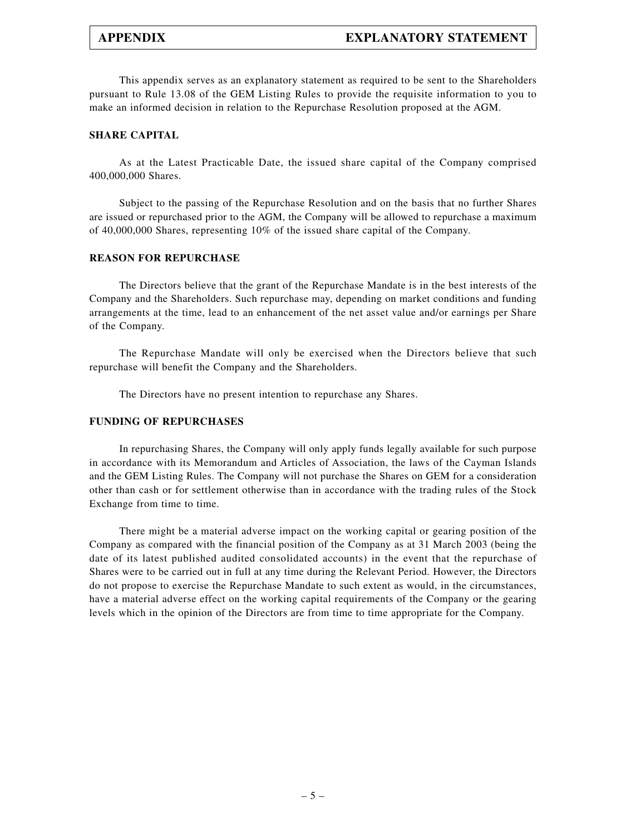This appendix serves as an explanatory statement as required to be sent to the Shareholders pursuant to Rule 13.08 of the GEM Listing Rules to provide the requisite information to you to make an informed decision in relation to the Repurchase Resolution proposed at the AGM.

#### **SHARE CAPITAL**

As at the Latest Practicable Date, the issued share capital of the Company comprised 400,000,000 Shares.

Subject to the passing of the Repurchase Resolution and on the basis that no further Shares are issued or repurchased prior to the AGM, the Company will be allowed to repurchase a maximum of 40,000,000 Shares, representing 10% of the issued share capital of the Company.

#### **REASON FOR REPURCHASE**

The Directors believe that the grant of the Repurchase Mandate is in the best interests of the Company and the Shareholders. Such repurchase may, depending on market conditions and funding arrangements at the time, lead to an enhancement of the net asset value and/or earnings per Share of the Company.

The Repurchase Mandate will only be exercised when the Directors believe that such repurchase will benefit the Company and the Shareholders.

The Directors have no present intention to repurchase any Shares.

#### **FUNDING OF REPURCHASES**

In repurchasing Shares, the Company will only apply funds legally available for such purpose in accordance with its Memorandum and Articles of Association, the laws of the Cayman Islands and the GEM Listing Rules. The Company will not purchase the Shares on GEM for a consideration other than cash or for settlement otherwise than in accordance with the trading rules of the Stock Exchange from time to time.

There might be a material adverse impact on the working capital or gearing position of the Company as compared with the financial position of the Company as at 31 March 2003 (being the date of its latest published audited consolidated accounts) in the event that the repurchase of Shares were to be carried out in full at any time during the Relevant Period. However, the Directors do not propose to exercise the Repurchase Mandate to such extent as would, in the circumstances, have a material adverse effect on the working capital requirements of the Company or the gearing levels which in the opinion of the Directors are from time to time appropriate for the Company.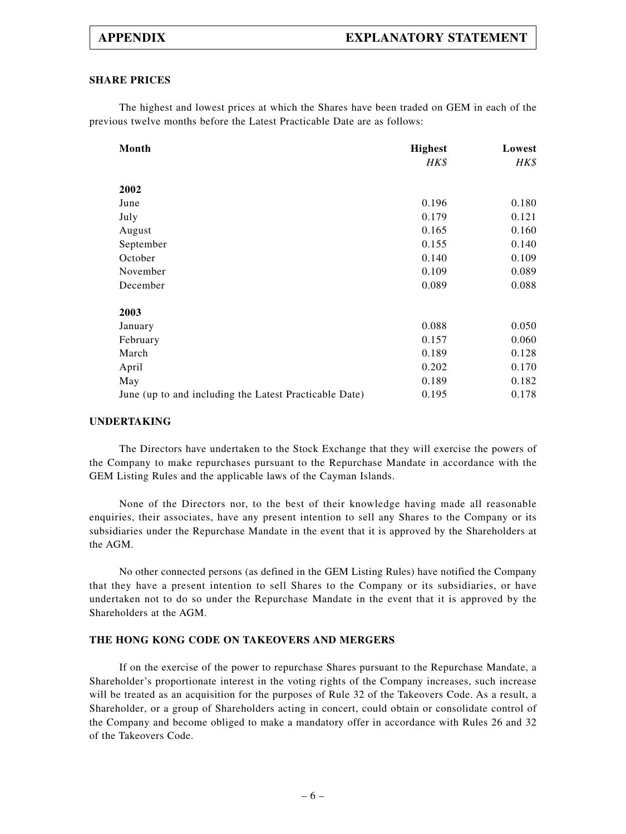#### **SHARE PRICES**

The highest and lowest prices at which the Shares have been traded on GEM in each of the previous twelve months before the Latest Practicable Date are as follows:

| Month                                                  | <b>Highest</b> | Lowest |
|--------------------------------------------------------|----------------|--------|
|                                                        | HK\$           | HK\$   |
| 2002                                                   |                |        |
| June                                                   | 0.196          | 0.180  |
| July                                                   | 0.179          | 0.121  |
| August                                                 | 0.165          | 0.160  |
| September                                              | 0.155          | 0.140  |
| October                                                | 0.140          | 0.109  |
| November                                               | 0.109          | 0.089  |
| December                                               | 0.089          | 0.088  |
| 2003                                                   |                |        |
| January                                                | 0.088          | 0.050  |
| February                                               | 0.157          | 0.060  |
| March                                                  | 0.189          | 0.128  |
| April                                                  | 0.202          | 0.170  |
| May                                                    | 0.189          | 0.182  |
| June (up to and including the Latest Practicable Date) | 0.195          | 0.178  |

#### **UNDERTAKING**

The Directors have undertaken to the Stock Exchange that they will exercise the powers of the Company to make repurchases pursuant to the Repurchase Mandate in accordance with the GEM Listing Rules and the applicable laws of the Cayman Islands.

None of the Directors nor, to the best of their knowledge having made all reasonable enquiries, their associates, have any present intention to sell any Shares to the Company or its subsidiaries under the Repurchase Mandate in the event that it is approved by the Shareholders at the AGM.

No other connected persons (as defined in the GEM Listing Rules) have notified the Company that they have a present intention to sell Shares to the Company or its subsidiaries, or have undertaken not to do so under the Repurchase Mandate in the event that it is approved by the Shareholders at the AGM.

#### **THE HONG KONG CODE ON TAKEOVERS AND MERGERS**

If on the exercise of the power to repurchase Shares pursuant to the Repurchase Mandate, a Shareholder's proportionate interest in the voting rights of the Company increases, such increase will be treated as an acquisition for the purposes of Rule 32 of the Takeovers Code. As a result, a Shareholder, or a group of Shareholders acting in concert, could obtain or consolidate control of the Company and become obliged to make a mandatory offer in accordance with Rules 26 and 32 of the Takeovers Code.